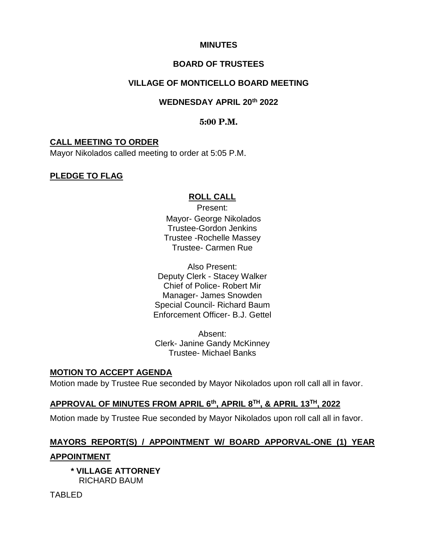### **MINUTES**

### **BOARD OF TRUSTEES**

## **VILLAGE OF MONTICELLO BOARD MEETING**

### **WEDNESDAY APRIL 20th 2022**

### **5:00 P.M.**

### **CALL MEETING TO ORDER**

Mayor Nikolados called meeting to order at 5:05 P.M.

### **PLEDGE TO FLAG**

### **ROLL CALL**

Present: Mayor- George Nikolados Trustee-Gordon Jenkins Trustee -Rochelle Massey Trustee- Carmen Rue

Also Present: Deputy Clerk - Stacey Walker Chief of Police- Robert Mir Manager- James Snowden Special Council- Richard Baum Enforcement Officer- B.J. Gettel

Absent: Clerk- Janine Gandy McKinney Trustee- Michael Banks

### **MOTION TO ACCEPT AGENDA**

Motion made by Trustee Rue seconded by Mayor Nikolados upon roll call all in favor.

### **APPROVAL OF MINUTES FROM APRIL 6th, APRIL 8TH, & APRIL 13TH, 2022**

Motion made by Trustee Rue seconded by Mayor Nikolados upon roll call all in favor.

## **MAYORS REPORT(S) / APPOINTMENT W/ BOARD APPORVAL-ONE (1) YEAR**

### **APPOINTMENT**

 **\* VILLAGE ATTORNEY** RICHARD BAUM

TABLED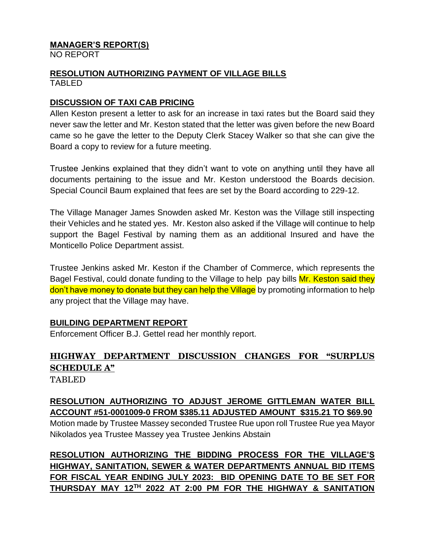#### **MANAGER'S REPORT(S)** NO REPORT

### **RESOLUTION AUTHORIZING PAYMENT OF VILLAGE BILLS** TABLED

## **DISCUSSION OF TAXI CAB PRICING**

Allen Keston present a letter to ask for an increase in taxi rates but the Board said they never saw the letter and Mr. Keston stated that the letter was given before the new Board came so he gave the letter to the Deputy Clerk Stacey Walker so that she can give the Board a copy to review for a future meeting.

Trustee Jenkins explained that they didn't want to vote on anything until they have all documents pertaining to the issue and Mr. Keston understood the Boards decision. Special Council Baum explained that fees are set by the Board according to 229-12.

The Village Manager James Snowden asked Mr. Keston was the Village still inspecting their Vehicles and he stated yes. Mr. Keston also asked if the Village will continue to help support the Bagel Festival by naming them as an additional Insured and have the Monticello Police Department assist.

Trustee Jenkins asked Mr. Keston if the Chamber of Commerce, which represents the Bagel Festival, could donate funding to the Village to help pay bills Mr. Keston said they don't have money to donate but they can help the Village by promoting information to help any project that the Village may have.

## **BUILDING DEPARTMENT REPORT**

Enforcement Officer B.J. Gettel read her monthly report.

# **HIGHWAY DEPARTMENT DISCUSSION CHANGES FOR "SURPLUS SCHEDULE A"**

TABLED

## **RESOLUTION AUTHORIZING TO ADJUST JEROME GITTLEMAN WATER BILL ACCOUNT #51-0001009-0 FROM \$385.11 ADJUSTED AMOUNT \$315.21 TO \$69.90**

Motion made by Trustee Massey seconded Trustee Rue upon roll Trustee Rue yea Mayor Nikolados yea Trustee Massey yea Trustee Jenkins Abstain

**RESOLUTION AUTHORIZING THE BIDDING PROCESS FOR THE VILLAGE'S HIGHWAY, SANITATION, SEWER & WATER DEPARTMENTS ANNUAL BID ITEMS FOR FISCAL YEAR ENDING JULY 2023: BID OPENING DATE TO BE SET FOR THURSDAY MAY 12TH 2022 AT 2:00 PM FOR THE HIGHWAY & SANITATION**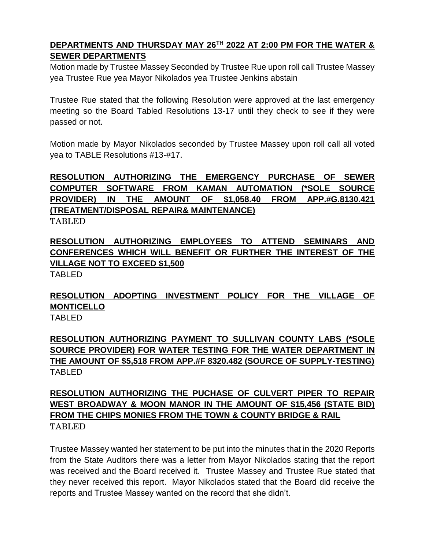## **DEPARTMENTS AND THURSDAY MAY 26TH 2022 AT 2:00 PM FOR THE WATER & SEWER DEPARTMENTS**

Motion made by Trustee Massey Seconded by Trustee Rue upon roll call Trustee Massey yea Trustee Rue yea Mayor Nikolados yea Trustee Jenkins abstain

Trustee Rue stated that the following Resolution were approved at the last emergency meeting so the Board Tabled Resolutions 13-17 until they check to see if they were passed or not.

Motion made by Mayor Nikolados seconded by Trustee Massey upon roll call all voted yea to TABLE Resolutions #13-#17.

# **RESOLUTION AUTHORIZING THE EMERGENCY PURCHASE OF SEWER COMPUTER SOFTWARE FROM KAMAN AUTOMATION (\*SOLE SOURCE PROVIDER) IN THE AMOUNT OF \$1,058.40 FROM APP.#G.8130.421 (TREATMENT/DISPOSAL REPAIR& MAINTENANCE)**

TABLED

## **RESOLUTION AUTHORIZING EMPLOYEES TO ATTEND SEMINARS AND CONFERENCES WHICH WILL BENEFIT OR FURTHER THE INTEREST OF THE VILLAGE NOT TO EXCEED \$1,500**

TABLED

## **RESOLUTION ADOPTING INVESTMENT POLICY FOR THE VILLAGE OF MONTICELLO** TABLED

**RESOLUTION AUTHORIZING PAYMENT TO SULLIVAN COUNTY LABS (\*SOLE SOURCE PROVIDER) FOR WATER TESTING FOR THE WATER DEPARTMENT IN THE AMOUNT OF \$5,518 FROM APP.#F 8320.482 (SOURCE OF SUPPLY-TESTING)** TABLED

## **RESOLUTION AUTHORIZING THE PUCHASE OF CULVERT PIPER TO REPAIR WEST BROADWAY & MOON MANOR IN THE AMOUNT OF \$15,456 (STATE BID) FROM THE CHIPS MONIES FROM THE TOWN & COUNTY BRIDGE & RAIL**  TABLED

Trustee Massey wanted her statement to be put into the minutes that in the 2020 Reports from the State Auditors there was a letter from Mayor Nikolados stating that the report was received and the Board received it. Trustee Massey and Trustee Rue stated that they never received this report. Mayor Nikolados stated that the Board did receive the reports and Trustee Massey wanted on the record that she didn't.